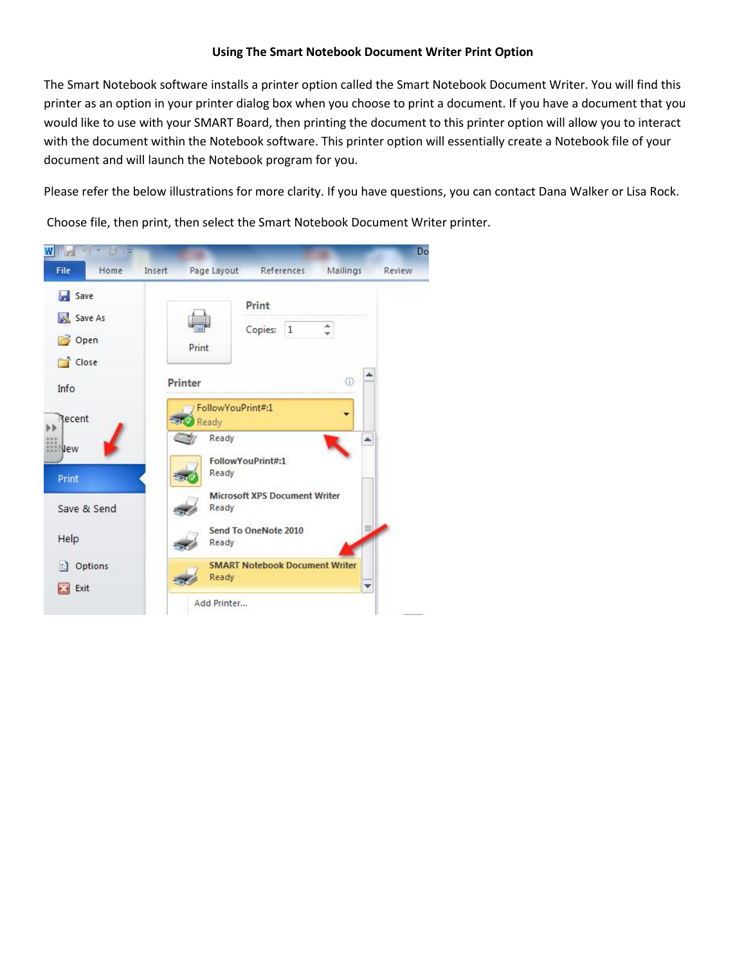## **Using The Smart Notebook Document Writer Print Option**

The Smart Notebook software installs a printer option called the Smart Notebook Document Writer. You will find this printer as an option in your printer dialog box when you choose to print a document. If you have a document that you would like to use with your SMART Board, then printing the document to this printer option will allow you to interact with the document within the Notebook software. This printer option will essentially create a Notebook file of your document and will launch the Notebook program for you.

Please refer the below illustrations for more clarity. If you have questions, you can contact Dana Walker or Lisa Rock.

Choose file, then print, then select the Smart Notebook Document Writer printer.

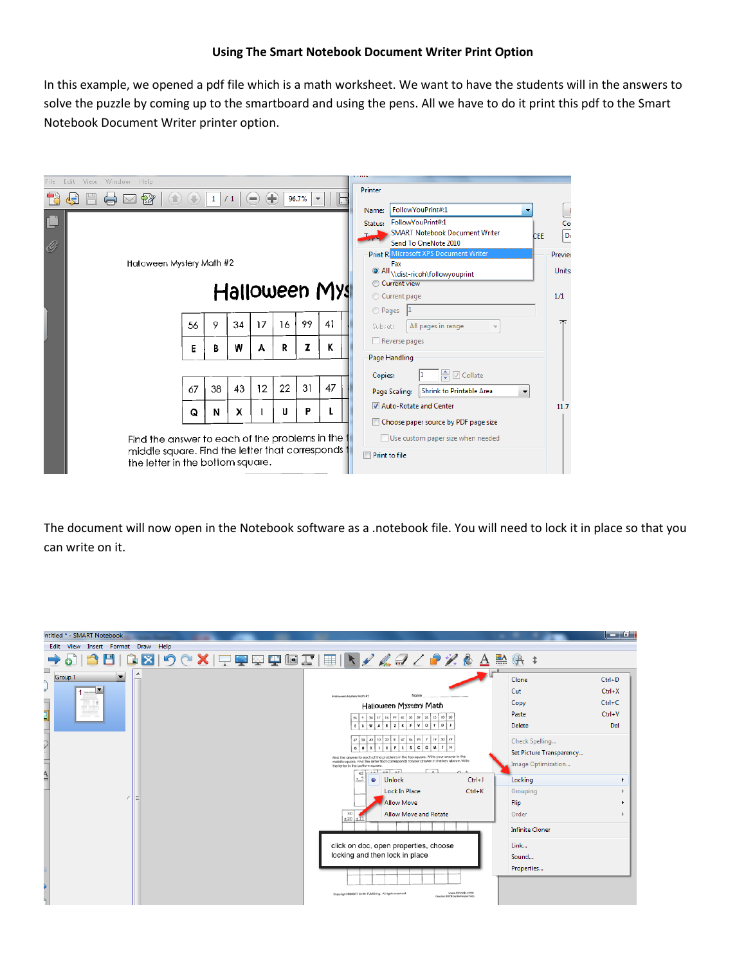In this example, we opened a pdf file which is a math worksheet. We want to have the students will in the answers to solve the puzzle by coming up to the smartboard and using the pens. All we have to do it print this pdf to the Smart Notebook Document Writer printer option.

| File | View<br>Window Help<br>Edit                                                           |    |              |    |                                   |    |       |               |                                                       |               |
|------|---------------------------------------------------------------------------------------|----|--------------|----|-----------------------------------|----|-------|---------------|-------------------------------------------------------|---------------|
|      | 它<br>lਵੋ                                                                              |    | $\mathbf{1}$ | /1 | Œ<br>$=$                          |    | 96.7% | 属             | Printer                                               |               |
|      |                                                                                       |    |              |    |                                   |    |       |               | FollowYouPrint#:1<br>Name:<br>٠                       |               |
| L    |                                                                                       |    |              |    |                                   |    |       |               | FollowYouPrint#:1<br>Status:                          |               |
|      |                                                                                       |    |              |    |                                   |    |       |               | <b>SMART Notebook Document Writer</b><br><b>CEE</b>   | $rac{Co}{Do}$ |
| O    |                                                                                       |    |              |    |                                   |    |       |               | Send To OneNote 2010                                  |               |
|      |                                                                                       |    |              |    |                                   |    |       |               | Print R. Microsoft XPS Document Writer                | Preview       |
|      | Halloween Mystery Math #2                                                             |    |              |    |                                   |    |       |               | Fax<br><sup>O</sup> All \\dist-ricoh\followyouprint   | Units:        |
|      |                                                                                       |    |              |    |                                   |    |       |               | Current view                                          |               |
|      |                                                                                       |    |              |    |                                   |    |       | Halloween Mys | Current page                                          | 1/1           |
|      |                                                                                       |    |              |    |                                   |    |       |               | <b>Pages</b>                                          |               |
|      |                                                                                       | 56 | 9            | 34 | 17                                | 16 | 99    | 41            | All pages in range<br>Subset:                         | ᅎ             |
|      |                                                                                       | Е  | B            | W  | A                                 | R  | Z     | к             | Reverse pages                                         |               |
|      |                                                                                       |    |              |    |                                   |    |       |               | Page Handling                                         |               |
|      |                                                                                       |    |              |    |                                   |    |       |               | ≑ Ø Collate<br>Copies:                                |               |
|      |                                                                                       | 67 | 38           | 43 | 12                                | 22 | 31    | 47            | <b>Shrink to Printable Area</b><br>Page Scaling:<br>▼ |               |
|      |                                                                                       | Q  | N            | x  |                                   | U  | P     |               | Auto-Rotate and Center                                | 11.7          |
|      |                                                                                       |    |              |    |                                   |    |       |               | Choose paper source by PDF page size                  |               |
|      | Find the answer to each of the problems in the t                                      |    |              |    | Use custom paper size when needed |    |       |               |                                                       |               |
|      | middle square. Find the letter that corresponds t<br>the letter in the bottom square. |    |              |    |                                   |    |       |               | <b>Print to file</b>                                  |               |

The document will now open in the Notebook software as a .notebook file. You will need to lock it in place so that you can write on it.